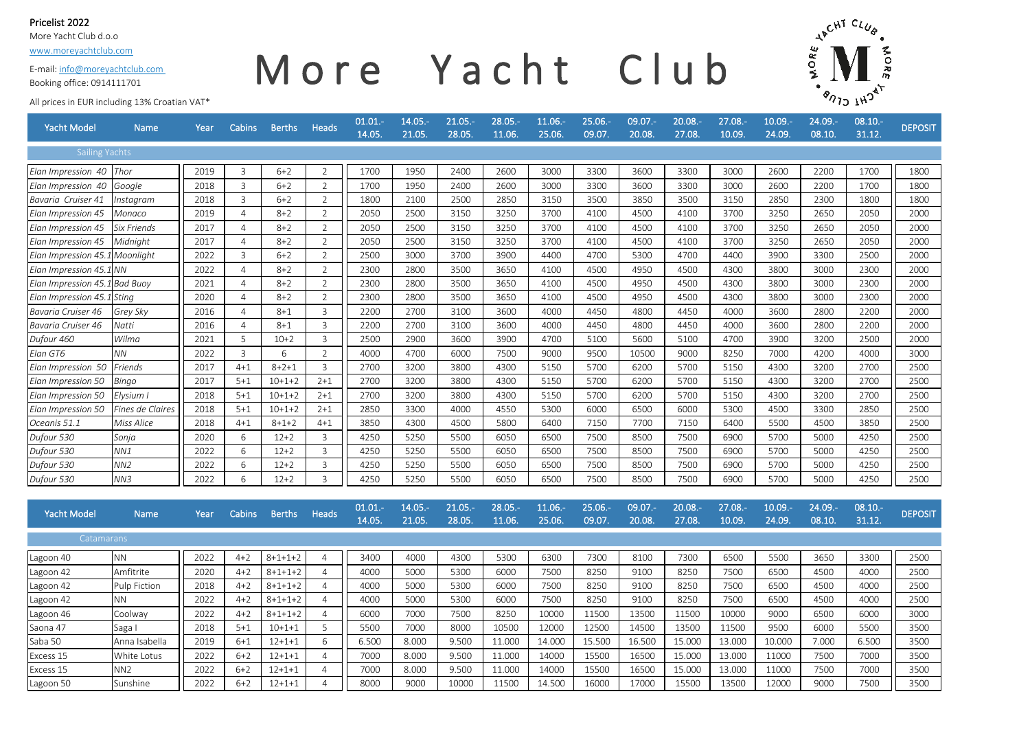#### Pricelist 2022

More Yacht Club d.o.o

[www.moreyachtclub.com](http://www.moreyachtclub.com/)

E-mail: info@moreyachtclub.com

#### Booking office: 0914111701

# More Yacht Club



All prices in EUR including 13% Croatian VAT\*

| <b>Yacht Model</b>            | <b>Name</b>         | Year | <b>Cabins</b>  | <b>Berths</b>   | <b>Heads</b>   | 01.01.<br>14.05. | $14.05. -$<br>21.05. | 21.05.-<br>28.05.   | $28.05. -$<br>11.06. | 11.06.-<br>25.06. | 25.06.-<br>09.07.   | $09.07 -$<br>20.08. | $20.08 -$<br>27.08. | $27.08. -$<br>10.09 | $10.09 -$<br>24.09. | 24.09.-<br>08.10. | $08.10 -$<br>31.12. | <b>DEPOSIT</b> |
|-------------------------------|---------------------|------|----------------|-----------------|----------------|------------------|----------------------|---------------------|----------------------|-------------------|---------------------|---------------------|---------------------|---------------------|---------------------|-------------------|---------------------|----------------|
| <b>Sailing Yachts</b>         |                     |      |                |                 |                |                  |                      |                     |                      |                   |                     |                     |                     |                     |                     |                   |                     |                |
| Elan Impression 40            | Thor                | 2019 | 3              | $6 + 2$         | $\overline{2}$ | 1700             | 1950                 | 2400                | 2600                 | 3000              | 3300                | 3600                | 3300                | 3000                | 2600                | 2200              | 1700                | 1800           |
| Elan Impression 40            | Google              | 2018 | 3              | $6+2$           | 2              | 1700             | 1950                 | 2400                | 2600                 | 3000              | 3300                | 3600                | 3300                | 3000                | 2600                | 2200              | 1700                | 1800           |
| Bavaria Cruiser 41            | Instagram           | 2018 | 3              | $6 + 2$         | 2              | 1800             | 2100                 | 2500                | 2850                 | 3150              | 3500                | 3850                | 3500                | 3150                | 2850                | 2300              | 1800                | 1800           |
| Elan Impression 45            | Monaco              | 2019 | $\overline{4}$ | $8 + 2$         | 2              | 2050             | 2500                 | 3150                | 3250                 | 3700              | 4100                | 4500                | 4100                | 3700                | 3250                | 2650              | 2050                | 2000           |
| Elan Impression 45            | Six Friends         | 2017 | $\overline{4}$ | $8 + 2$         | $\overline{2}$ | 2050             | 2500                 | 3150                | 3250                 | 3700              | 4100                | 4500                | 4100                | 3700                | 3250                | 2650              | 2050                | 2000           |
| Elan Impression 45            | Midnight            | 2017 | 4              | $8 + 2$         | $\overline{2}$ | 2050             | 2500                 | 3150                | 3250                 | 3700              | 4100                | 4500                | 4100                | 3700                | 3250                | 2650              | 2050                | 2000           |
| Elan Impression 45.1          | Moonlight           | 2022 | 3              | $6 + 2$         | 2              | 2500             | 3000                 | 3700                | 3900                 | 4400              | 4700                | 5300                | 4700                | 4400                | 3900                | 3300              | 2500                | 2000           |
| Elan Impression 45.1          | NN.                 | 2022 | 4              | $8 + 2$         | 2              | 2300             | 2800                 | 3500                | 3650                 | 4100              | 4500                | 4950                | 4500                | 4300                | 3800                | 3000              | 2300                | 2000           |
| Elan Impression 45.1 Bad Buoy |                     | 2021 | $\overline{4}$ | $8 + 2$         | 2              | 2300             | 2800                 | 3500                | 3650                 | 4100              | 4500                | 4950                | 4500                | 4300                | 3800                | 3000              | 2300                | 2000           |
| Elan Impression 45.1          | Sting               | 2020 | $\overline{4}$ | $8 + 2$         | 2              | 2300             | 2800                 | 3500                | 3650                 | 4100              | 4500                | 4950                | 4500                | 4300                | 3800                | 3000              | 2300                | 2000           |
| Bavaria Cruiser 46            | Grey Sky            | 2016 | $\overline{4}$ | $8 + 1$         | 3              | 2200             | 2700                 | 3100                | 3600                 | 4000              | 4450                | 4800                | 4450                | 4000                | 3600                | 2800              | 2200                | 2000           |
| Bavaria Cruiser 46            | Natti               | 2016 | 4              | $8 + 1$         | 3              | 2200             | 2700                 | 3100                | 3600                 | 4000              | 4450                | 4800                | 4450                | 4000                | 3600                | 2800              | 2200                | 2000           |
| Dufour 460                    | Wilma               | 2021 | 5              | $10+2$          | $\mathsf{3}$   | 2500             | 2900                 | 3600                | 3900                 | 4700              | 5100                | 5600                | 5100                | 4700                | 3900                | 3200              | 2500                | 2000           |
| Elan GT6                      | ΝN                  | 2022 | 3              | 6               | 2              | 4000             | 4700                 | 6000                | 7500                 | 9000              | 9500                | 10500               | 9000                | 8250                | 7000                | 4200              | 4000                | 3000           |
| Elan Impression 50            | Friends             | 2017 | $4 + 1$        | $8 + 2 + 1$     | $\overline{3}$ | 2700             | 3200                 | 3800                | 4300                 | 5150              | 5700                | 6200                | 5700                | 5150                | 4300                | 3200              | 2700                | 2500           |
| Elan Impression 50            | Bingo               | 2017 | $5 + 1$        | $10+1+2$        | $2 + 1$        | 2700             | 3200                 | 3800                | 4300                 | 5150              | 5700                | 6200                | 5700                | 5150                | 4300                | 3200              | 2700                | 2500           |
| Elan Impression 50            | Elysium             | 2018 | $5 + 1$        | $10+1+2$        | $2 + 1$        | 2700             | 3200                 | 3800                | 4300                 | 5150              | 5700                | 6200                | 5700                | 5150                | 4300                | 3200              | 2700                | 2500           |
| Elan Impression 50            | Fines de Claires    | 2018 | $5 + 1$        | $10+1+2$        | $2 + 1$        | 2850             | 3300                 | 4000                | 4550                 | 5300              | 6000                | 6500                | 6000                | 5300                | 4500                | 3300              | 2850                | 2500           |
| Oceanis 51.1                  | Miss Alice          | 2018 | $4 + 1$        | $8 + 1 + 2$     | $4 + 1$        | 3850             | 4300                 | 4500                | 5800                 | 6400              | 7150                | 7700                | 7150                | 6400                | 5500                | 4500              | 3850                | 2500           |
| Dufour 530                    | Sonja               | 2020 | 6              | $12 + 2$        | 3              | 4250             | 5250                 | 5500                | 6050                 | 6500              | 7500                | 8500                | 7500                | 6900                | 5700                | 5000              | 4250                | 2500           |
| Dufour 530                    | NN1                 | 2022 | 6              | $12 + 2$        | $\mathbf{3}$   | 4250             | 5250                 | 5500                | 6050                 | 6500              | 7500                | 8500                | 7500                | 6900                | 5700                | 5000              | 4250                | 2500           |
| Dufour 530                    | NN2                 | 2022 | 6              | $12 + 2$        | $\overline{3}$ | 4250             | 5250                 | 5500                | 6050                 | 6500              | 7500                | 8500                | 7500                | 6900                | 5700                | 5000              | 4250                | 2500           |
| Dufour 530                    | NN3                 | 2022 | 6              | $12+2$          | 3              | 4250             | 5250                 | 5500                | 6050                 | 6500              | 7500                | 8500                | 7500                | 6900                | 5700                | 5000              | 4250                | 2500           |
|                               |                     |      |                |                 |                |                  |                      |                     |                      |                   |                     |                     |                     |                     |                     |                   |                     |                |
| <b>Yacht Model</b>            | <b>Name</b>         | Year | <b>Cabins</b>  | <b>Berths</b>   | <b>Heads</b>   | 01.01.<br>14.05. | $14.05. -$<br>21.05. | $21.05 -$<br>28.05. | $28.05 -$<br>11.06.  | 11.06.-<br>25.06. | $25.06 -$<br>09.07. | $09.07 -$<br>20.08. | $20.08 -$<br>27.08. | 27.08.-<br>10.09.   | $10.09 -$<br>24.09. | 24.09.-<br>08.10. | 08.10.<br>31.12.    | <b>DEPOSIT</b> |
|                               |                     |      |                |                 |                |                  |                      |                     |                      |                   |                     |                     |                     |                     |                     |                   |                     |                |
| Catamarans                    |                     |      |                |                 |                |                  |                      |                     |                      |                   |                     |                     |                     |                     |                     |                   |                     |                |
| Lagoon 40                     | <b>NN</b>           | 2022 | $4 + 2$        | $8 + 1 + 1 + 2$ | 4              | 3400             | 4000                 | 4300                | 5300                 | 6300              | 7300                | 8100                | 7300                | 6500                | 5500                | 3650              | 3300                | 2500           |
| Lagoon 42                     | Amfitrite           | 2020 | $4 + 2$        | $8 + 1 + 1 + 2$ | $\overline{4}$ | 4000             | 5000                 | 5300                | 6000                 | 7500              | 8250                | 9100                | 8250                | 7500                | 6500                | 4500              | 4000                | 2500           |
| Lagoon 42                     | <b>Pulp Fiction</b> | 2018 | $4 + 2$        | $8 + 1 + 1 + 2$ | $\overline{4}$ | 4000             | 5000                 | 5300                | 6000                 | 7500              | 8250                | 9100                | 8250                | 7500                | 6500                | 4500              | 4000                | 2500           |
| Lagoon 42                     | NΝ                  | 2022 | $4 + 2$        | $8 + 1 + 1 + 2$ | $\overline{4}$ | 4000             | 5000                 | 5300                | 6000                 | 7500              | 8250                | 9100                | 8250                | 7500                | 6500                | 4500              | 4000                | 2500           |
| Lagoon 46                     | Coolway             | 2022 | $4 + 2$        | $8 + 1 + 1 + 2$ | $\overline{4}$ | 6000             | 7000                 | 7500                | 8250                 | 10000             | 11500               | 13500               | 11500               | 10000               | 9000                | 6500              | 6000                | 3000           |
| Saona 47                      | Saga I              | 2018 | $5 + 1$        | $10+1+1$        | 5              | 5500             | 7000                 | 8000                | 10500                | 12000             | 12500               | 14500               | 13500               | 11500               | 9500                | 6000              | 5500                | 3500           |
| Saba 50                       | Anna Isabella       | 2019 | $6 + 1$        | $12 + 1 + 1$    | 6              | 6.500            | 8.000                | 9.500               | 11.000               | 14.000            | 15.500              | 16.500              | 15.000              | 13.000              | 10.000              | 7.000             | 6.500               | 3500           |
| Excess 15                     | White Lotus         | 2022 | $6 + 2$        | $12 + 1 + 1$    | $\overline{4}$ | 7000             | 8.000                | 9.500               | 11.000               | 14000             | 15500               | 16500               | 15.000              | 13.000              | 11000               | 7500              | 7000                | 3500           |
| Excess 15                     | NN <sub>2</sub>     | 2022 | $6 + 2$        | $12 + 1 + 1$    | $\overline{4}$ | 7000             | 8.000                | 9.500               | 11.000               | 14000             | 15500               | 16500               | 15.000              | 13.000              | 11000               | 7500              | 7000                | 3500           |
| Lagoon 50                     | Sunshine            | 2022 | $6+2$          | $12 + 1 + 1$    | $\overline{4}$ | 8000             | 9000                 | 10000               | 11500                | 14.500            | 16000               | 17000               | 15500               | 13500               | 12000               | 9000              | 7500                | 3500           |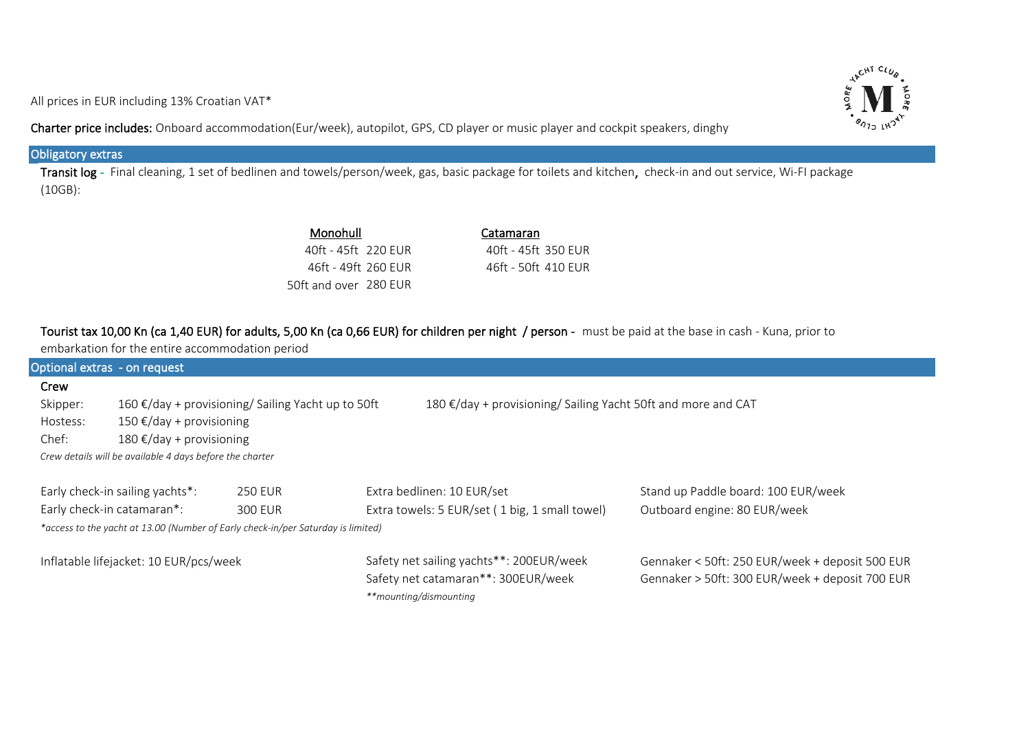All prices in EUR including 13% Croatian VAT\*

**AACHT CLUB ORE**  $\sqrt[s]{2}$ 

Charter price includes: Onboard accommodation(Eur/week), autopilot, GPS, CD player or music player and cockpit speakers, dinghy

#### l Obligatory extras

Transit log - Final cleaning, 1 set of bedlinen and towels/person/week, gas, basic package for toilets and kitchen, check-in and out service, Wi-FI package (10GB):

| Monohull              | Catamaran           |
|-----------------------|---------------------|
| 40ft - 45ft 220 FUR   | 40ft - 45ft 350 FUR |
| 46ft - 49ft 260 FUR   | 46ft - 50ft 410 FUR |
| 50ft and over 280 EUR |                     |

# Tourist tax 10,00 Kn (ca 1,40 EUR) for adults, 5,00 Kn (ca 0,66 EUR) for children per night / person - must be paid at the base in cash - Kuna, prior to

| embarkation for the entire accommodation period                                  |                                                                                                                     |                |  |                                                |                                                 |  |  |  |  |  |  |
|----------------------------------------------------------------------------------|---------------------------------------------------------------------------------------------------------------------|----------------|--|------------------------------------------------|-------------------------------------------------|--|--|--|--|--|--|
| Optional extras - on request                                                     |                                                                                                                     |                |  |                                                |                                                 |  |  |  |  |  |  |
| Crew                                                                             |                                                                                                                     |                |  |                                                |                                                 |  |  |  |  |  |  |
| Skipper:                                                                         | 180 €/day + provisioning/ Sailing Yacht 50ft and more and CAT<br>160 €/day + provisioning/ Sailing Yacht up to 50ft |                |  |                                                |                                                 |  |  |  |  |  |  |
| Hostess:                                                                         | 150 €/day + provisioning                                                                                            |                |  |                                                |                                                 |  |  |  |  |  |  |
| Chef:                                                                            | 180 €/day + provisioning                                                                                            |                |  |                                                |                                                 |  |  |  |  |  |  |
| Crew details will be available 4 days before the charter                         |                                                                                                                     |                |  |                                                |                                                 |  |  |  |  |  |  |
|                                                                                  |                                                                                                                     |                |  |                                                |                                                 |  |  |  |  |  |  |
| Early check-in sailing yachts*:<br><b>250 EUR</b>                                |                                                                                                                     |                |  | Extra bedlinen: 10 EUR/set                     | Stand up Paddle board: 100 EUR/week             |  |  |  |  |  |  |
|                                                                                  | Early check-in catamaran*:                                                                                          | <b>300 EUR</b> |  | Extra towels: 5 EUR/set (1 big, 1 small towel) | Outboard engine: 80 EUR/week                    |  |  |  |  |  |  |
| *access to the yacht at 13.00 (Number of Early check-in/per Saturday is limited) |                                                                                                                     |                |  |                                                |                                                 |  |  |  |  |  |  |
|                                                                                  |                                                                                                                     |                |  |                                                |                                                 |  |  |  |  |  |  |
|                                                                                  | Inflatable lifejacket: 10 EUR/pcs/week                                                                              |                |  | Safety net sailing yachts**: 200EUR/week       | Gennaker < 50ft: 250 EUR/week + deposit 500 EUR |  |  |  |  |  |  |
|                                                                                  |                                                                                                                     |                |  | Safety net catamaran**: 300EUR/week            | Gennaker > 50ft: 300 EUR/week + deposit 700 EUR |  |  |  |  |  |  |
|                                                                                  |                                                                                                                     |                |  | **mounting/dismounting                         |                                                 |  |  |  |  |  |  |